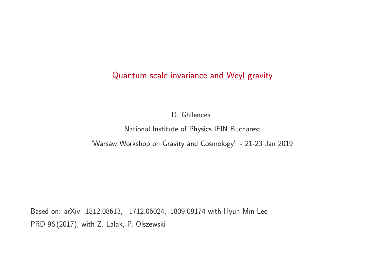# Quantum scale invariance and Weyl gravity

D. Ghilencea

National Institute of Physics IFIN Bucharest

"Warsaw Workshop on Gravity and Cosmology" - 21-23 Jan 2019

Based on: arXiv: 1812.08613, 1712.06024, 1809.09174 with Hyun Min Lee PRD 96 (2017), with Z. Lalak, P. Olszewski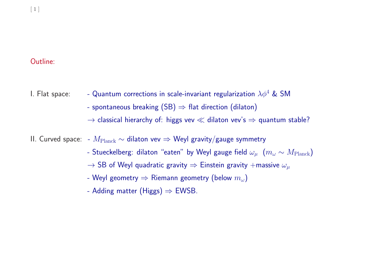### Outline:

- I. Flat space:  $\qquad$  Quantum corrections in scale-invariant regularization  $\lambda \phi^4$  & SM
	- spontaneous breaking  $(SB) \Rightarrow$  flat direction (dilaton)
	- $\rightarrow$  classical hierarchy of: higgs vev  $\ll$  dilaton vev's  $\Rightarrow$  quantum stable?

II. Curved space: –  $M_{\rm Planck}$   $\sim$  dilaton vev  $\Rightarrow$  Weyl gravity/gauge symmetry

- Stueckelberg: dilaton "eaten" by Weyl gauge field  $\omega_\mu~$   $(m_\omega \sim M_{\rm Planck})$
- $\rightarrow$  SB of Weyl quadratic gravity  $\Rightarrow$  Einstein gravity  $+$ massive  $\omega_\mu$
- Weyl geometry  $\Rightarrow$  Riemann geometry (below  $m_\omega$ )
- Adding matter (Higgs) ⇒ EWSB.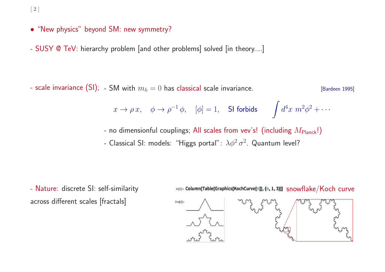[ <sup>2</sup> ]

- "New physics" beyond SM: new symmetry?
- SUSY @ TeV: hierarchy problem [and other problems] solved [in theory....]

- scale invariance (SI);  $-$  SM with  $m_h = 0$  has classical scale invariance.  $[{\sf Barden~1995}]$ 

$$
x \to \rho x
$$
,  $\phi \to \rho^{-1} \phi$ ,  $[\phi] = 1$ , **SI forbids**  $\int d^4x \ m^2 \phi^2 + \cdots$ 

- no dimensionful couplings; All scales from vev's! (including  $M_{\sf Planck}$ !) - Classical SI: models: "Higgs portal":  $\lambda \phi^2 \sigma^2$ . Quantum level?

- Nature: discrete SI: self-similarity across different scales [fractals]

in[2]= Column[Table[Graphics[KochCurve[n]], {n, 1, 3}]] snowflake/Koch curve

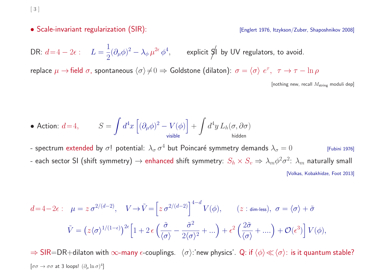[ <sup>3</sup> ]

#### • Scale-invariant regularization (SIR): The state of the state of the state of the Scale-invariant regularization (SIR):

DR:  $d\!=\!4-2\epsilon$  :  $L=\frac{1}{\epsilon}$  $\frac{1}{2}(\partial_{\mu}\phi)^2-\lambda_{\phi}\,\mu^{2\epsilon}\,\phi^4,\qquad$  explicit  $\cancel{\eta}$ l by UV regulators, to avoid.

replace  $\mu \to$ field  $\sigma$ , spontaneous  $\langle \sigma \rangle \neq 0 \Rightarrow$  Goldstone (dilaton):  $\sigma = \langle \sigma \rangle e^{\tau}$ ,  $\tau \to \tau - \ln \rho$ 

[nothing new, recall  $M_{\text{string}}$  moduli dep]

$$
\bullet\,\text{ Action:}\,\,d\!=\!4,\qquad\,S=\int d^4x\,\Big[(\partial_\mu\phi)^2-V(\phi)\Big]+\int d^4y\,L_h(\sigma,\partial\sigma)\\ \text{hidden}
$$

- spectrum extended by  $\sigma!$  potential:  $\lambda_{\sigma}\,\sigma^4$  but Poincaré symmetry demands  $\lambda_{\sigma}=0$  [Fubini 1976] - each sector SI (shift symmetry)  $\to$  enhanced shift symmetry:  $S_h \times S_v \Rightarrow \lambda_m \phi^2 \sigma^2$ :  $\lambda_m$  naturally small [Volkas, Kobakhidze, Foot 2013]

$$
d=4-2\epsilon: \quad \mu=z \,\sigma^{2/(d-2)}, \quad V \to \tilde{V}=\left[z \,\sigma^{2/(d-2)}\right]^{4-d} V(\phi), \qquad (z:\text{dim-less}), \quad \sigma=\langle\sigma\rangle+\tilde{\sigma}
$$

$$
\tilde{V}=\left(z\langle\sigma\rangle^{1/(1-\epsilon)}\right)^{2\epsilon}\left[1+2\,\epsilon\left(\frac{\tilde{\sigma}}{\langle\sigma\rangle}-\frac{\tilde{\sigma}^2}{2\langle\sigma\rangle^2}+\ldots\right)+\epsilon^2\left(\frac{2\tilde{\sigma}}{\langle\sigma\rangle}+\ldots\right)+\mathcal{O}(\epsilon^3)\right] V(\phi),
$$

 $\Rightarrow$  SIR=DR+dilaton with  $\infty$ -many  $\epsilon$ -couplings.  $\langle \sigma \rangle$ :'new physics'. Q: if  $\langle \phi \rangle \ll \langle \sigma \rangle$ : is it quantum stable?  $[\sigma\sigma \to \sigma\sigma$  at 3 loops!  $(\partial_\mu \ln \sigma)^4]$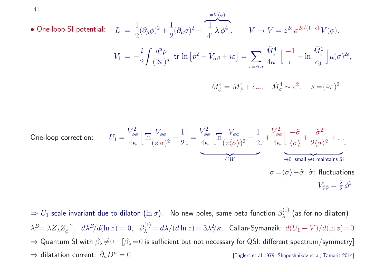$$
\begin{array}{lll}\n\text{(4)}\\
\bullet \text{ One-loop SI potential:} & L = \frac{1}{2} (\partial_{\mu} \phi)^2 + \frac{1}{2} (\partial_{\mu} \sigma)^2 - \overbrace{1}^{\text{IV}} \lambda \phi^4\\
V \to \tilde{V} = z^{2\epsilon} \sigma^{2\epsilon/(1-\epsilon)} V(\phi).\\
V_1 = -\frac{i}{2} \int \frac{d^d p}{(2\pi)^d} \text{ tr } \ln \left[ p^2 - \tilde{V}_{\alpha\beta} + i\varepsilon \right] = \sum_{s=\phi,\sigma} \frac{\tilde{M}_s^4}{4\kappa} \left[ \frac{-1}{\epsilon} + \ln \frac{\tilde{M}_s^2}{c_0} \right] \mu(\sigma)^{2\epsilon},\\
\tilde{M}_{\phi}^4 = M_{\phi}^4 + \epsilon \dots, \quad \tilde{M}_{\sigma}^4 \sim \epsilon^2, \quad \kappa = (4\pi)^2\n\end{array}
$$

One-loop correction: 
$$
U_1 = \frac{V_{\phi\phi}^2}{4\kappa} \left[ \overline{\ln} \frac{V_{\phi\phi}}{(z \sigma)^2} - \frac{1}{2} \right] = \frac{V_{\phi\phi}^2}{4\kappa} \left[ \overline{\ln} \frac{V_{\phi\phi}}{(z \langle \sigma \rangle)^2} - \frac{1}{2} \right] + \frac{V_{\phi\phi}^2}{4\kappa} \left[ \frac{-\tilde{\sigma}}{\langle \sigma \rangle} + \frac{\tilde{\sigma}^2}{2\langle \sigma \rangle^2} + \cdots \right]
$$
  
\n $W$   
\n $\sigma = \langle \sigma \rangle + \tilde{\sigma}, \tilde{\sigma}$ : fluctuations  
\n $V_{\phi\phi} = \frac{\lambda}{2} \phi^2$ 

 $\Rightarrow U_1$  scale invariant due to dilaton  $(\ln \sigma)$ . No new poles, same beta function  $\beta_\lambda^{(1)}$  (as for no dilaton)  $\lambda^B\!\!= \lambda Z_\lambda Z_\phi^{-2}, \ \ d\lambda^B\!/d(\ln z) = 0, \ \ \beta_\lambda^{(1)}\!\!= d\lambda/(d\ln z) \!= 3\lambda^2\!/\kappa. \ \ \textsf{Callan-Symanzik:} \ \, d(U_1+V)/d(\ln z) \!=\! 0$  $\Rightarrow$  Quantum SI with  $\beta_\lambda \neq 0$   $[\beta_\lambda=0$  is sufficient but not necessary for QSI: different spectrum/symmetry] ⇒ dilatation current:  $\partial_\mu D^\mu = 0$  [Englert et al 1979, Shaposhnikov et al; Tamarit 2014]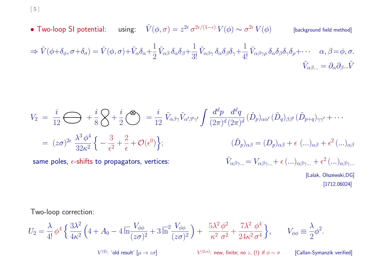[ <sup>5</sup> ]

• Two-loop SI potential: using:  $\tilde{V}(\phi,\sigma)=z^{2\epsilon}\,\sigma^{2\epsilon/(1-\epsilon)}\,V(\phi)\sim\sigma^{2\epsilon}\,V(\phi)$  [background field method]  $\Rightarrow \tilde{V}(\phi+\delta_{\phi}, \sigma+\delta_{\sigma}) = \tilde{V}(\phi, \sigma) + \tilde{V}_{\alpha}\delta_{\alpha} + \frac{1}{2}\tilde{V}_{\alpha\beta}\delta_{\alpha}\delta_{\beta} + \frac{1}{3!}\tilde{V}_{\alpha\beta\gamma}\delta_{\alpha}\delta_{\beta}\delta_{\gamma} + \frac{1}{4!}\tilde{V}_{\alpha\beta\gamma\rho}\delta_{\alpha}\delta_{\beta}\delta_{\gamma}\delta_{\rho} + \cdots \quad \alpha, \beta = \phi, \sigma.$  $\tilde{V}_{\alpha\beta...} = \partial_{\alpha}\partial_{\beta}...\tilde{V}$ 

$$
V_2 = \frac{i}{12} \bigoplus_{\substack{12 \text{ s} \text{ odd}}} + \frac{i}{8} \bigotimes_{\substack{12 \text{ s} \text{ odd}}} + \frac{i}{2} \bigotimes_{\substack{12 \text{ s} \text{ odd}}} = \frac{i}{12} \tilde{V}_{\alpha\beta\gamma} \tilde{V}_{\alpha'\beta'\gamma'} \int \frac{d^d p}{(2\pi)^d} \frac{d^d q}{(2\pi)^d} (\tilde{D}_p)_{\alpha\alpha'} (\tilde{D}_q)_{\beta\beta'} (\tilde{D}_{p+q})_{\gamma\gamma'} + \cdots
$$
  
\n
$$
= (z\sigma)^{2\epsilon} \frac{\lambda^3 \phi^4}{32\kappa^2} \Big\{ -\frac{3}{\epsilon^2} + \frac{2}{\epsilon} + \mathcal{O}(\epsilon^0) \Big\};
$$
  
\n
$$
(\tilde{D}_p)_{\alpha\beta} = (D_p)_{\alpha\beta} + \epsilon \ (\ldots)_{\alpha\beta} + \epsilon^2 \ (\ldots)_{\alpha\beta}
$$
  
\nsame poles,  $\epsilon$ -shifts to propagators, vertices:  
\n
$$
\tilde{V}_{\alpha\beta\gamma\ldots} = V_{\alpha\beta\gamma\ldots} + \epsilon \ (\ldots)_{\alpha\beta\gamma\ldots} + \epsilon^2 \ (\ldots)_{\alpha\beta\gamma\ldots}
$$
  
\n[Lalak, Olszewski, DG]

Two-loop correction:

$$
U_2 = \frac{\lambda}{4!} \phi^4 \left\{ \frac{3\lambda^2}{4\kappa^2} \left( 4 + A_0 - 4 \overline{\ln} \frac{V_{\phi\phi}}{(z\sigma)^2} + 3 \overline{\ln}^2 \frac{V_{\phi\phi}}{(z\sigma)^2} \right) + \frac{5\lambda^2 \phi^2}{\kappa^2 \sigma^2} + \frac{7\lambda^2 \phi^4}{24\kappa^2 \sigma^4} \right\}, \qquad V_{\phi\phi} \equiv \frac{\lambda}{2} \phi^2.
$$
  

$$
V^{(2): \text{ 'old result' } } [\mu \to z\sigma] \qquad \qquad V^{(2,n): \text{ new, finite; no } z, (!) \text{ if } \phi \sim \sigma \qquad \text{[Callan-Symanzik verified]}
$$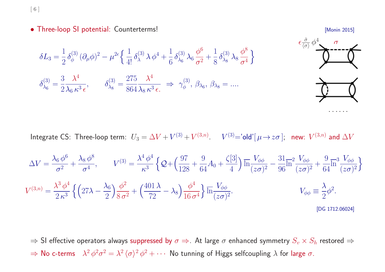[ <sup>6</sup> ]

• Three-loop SI potential: Counterterms! **• Three-loop SI potential: Counterterms!** 

· · · · · ·



Integrate CS: Three-loop term:  $U_3 = \Delta V + V^{(3)} + V^{(3,n)}$ .  $V^{(3)} =$ 'old'[ $\mu \rightarrow z\sigma$ ]; new:  $V^{(3,n)}$  and  $\Delta V$ 

$$
\Delta V = \frac{\lambda_6 \phi^6}{\sigma^2} + \frac{\lambda_8 \phi^8}{\sigma^4}, \qquad V^{(3)} = \frac{\lambda^4 \phi^4}{\kappa^3} \left\{ \mathcal{Q} + \left( \frac{97}{128} + \frac{9}{64} A_0 + \frac{\zeta[3]}{4} \right) \overline{\ln} \frac{V_{\phi\phi}}{(z\sigma)^2} - \frac{31}{96} \overline{\ln}^2 \frac{V_{\phi\phi}}{(z\sigma)^2} + \frac{9}{64} \overline{\ln}^3 \frac{V_{\phi\phi}}{(z\sigma)^2} \right\}
$$
  

$$
V^{(3,n)} = \frac{\lambda^3 \phi^4}{2 \kappa^3} \left\{ \left( 27\lambda - \frac{\lambda_6}{2} \right) \frac{\phi^2}{8 \sigma^2} + \left( \frac{401 \lambda}{72} - \lambda_8 \right) \frac{\phi^4}{16 \sigma^4} \right\} \overline{\ln} \frac{V_{\phi\phi}}{(z\sigma)^2}.
$$
  

$$
V_{\phi\phi} \equiv \frac{\lambda}{2} \phi^2.
$$
  
[DG 1712.06024]

 $\Rightarrow$  SI effective operators always suppressed by  $\sigma \Rightarrow$ . At large  $\sigma$  enhanced symmetry  $S_v \times S_h$  restored  $\Rightarrow$  $\Rightarrow$  No c-terms  $\lambda^2 \phi^2 \sigma^2 = \lambda^2 \langle \sigma \rangle^2 \phi^2 + \cdots$  No tunning of Higgs selfcoupling  $\lambda$  for large  $\sigma$ .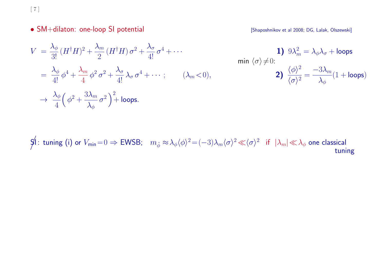[ <sup>7</sup> ]

• SM+dilaton: one-loop SI potential **and the set of the SM+dilaton:** one-loop SI potential and the set of the set of the set of the set of the set of the SM+dilaton: one-loop SI potential and the set of the set of the set

$$
V = \frac{\lambda_{\phi}}{3!} (H^{\dagger} H)^2 + \frac{\lambda_{m}}{2} (H^{\dagger} H) \sigma^2 + \frac{\lambda_{\sigma}}{4!} \sigma^4 + \cdots
$$
  
\n
$$
= \frac{\lambda_{\phi}}{4!} \phi^4 + \frac{\lambda_{m}}{4} \phi^2 \sigma^2 + \frac{\lambda_{\sigma}}{4!} \lambda_{\sigma} \sigma^4 + \cdots; \qquad (\lambda_{m} < 0),
$$
  
\n
$$
\Rightarrow \frac{\lambda_{\phi}}{4} \left( \phi^2 + \frac{3\lambda_{m}}{\lambda_{\phi}} \sigma^2 \right)^2 + \text{loops.}
$$
  
\n
$$
\Rightarrow \frac{\lambda_{\phi}}{4} \left( \phi^2 + \frac{3\lambda_{m}}{\lambda_{\phi}} \sigma^2 \right)^2 + \text{loops.}
$$

 $\frac{1}{2}$ : tuning (i) or  $V_{\text{min}}=0 \Rightarrow$  EWSB;  $m_{\tilde{\phi}} \approx \lambda_{\phi} \langle \phi \rangle^2 = (-3)\lambda_m \langle \sigma \rangle^2 \ll \langle \sigma \rangle^2$  if  $|\lambda_m| \ll \lambda_{\phi}$  one classical tuning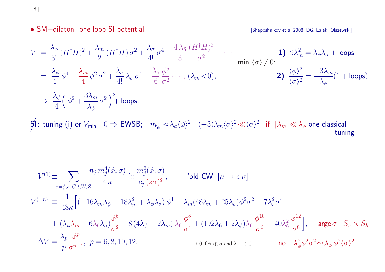[ <sup>8</sup> ]

• SM+dilaton: one-loop SI potential **intervalse and the SM+dilaton:** one-loop SI potential and the SM+dilaton: one-loop SI potential

$$
V = \frac{\lambda_{\phi}}{3!} (H^{\dagger}H)^{2} + \frac{\lambda_{m}}{2} (H^{\dagger}H) \sigma^{2} + \frac{\lambda_{\sigma}}{4!} \sigma^{4} + \frac{4\lambda_{6}}{3} \frac{(H^{\dagger}H)^{3}}{\sigma^{2}} + \cdots
$$
  
\n
$$
= \frac{\lambda_{\phi}}{4!} \phi^{4} + \frac{\lambda_{m}}{4} \phi^{2} \sigma^{2} + \frac{\lambda_{\sigma}}{4!} \lambda_{\sigma} \sigma^{4} + \frac{\lambda_{6}}{6} \frac{\phi^{6}}{\sigma^{2}} \cdots ; (\lambda_{m} < 0),
$$
  
\n
$$
\Rightarrow \frac{\lambda_{\phi}}{4} \left(\phi^{2} + \frac{3\lambda_{m}}{\lambda_{\phi}} \sigma^{2}\right)^{2} + \text{loops.}
$$
  
\n
$$
\Rightarrow \frac{\lambda_{\phi}}{4} \left(\phi^{2} + \frac{3\lambda_{m}}{\lambda_{\phi}} \sigma^{2}\right)^{2} + \text{loops.}
$$
  
\n
$$
\Rightarrow \frac{\lambda_{\phi}}{4} \left(\phi^{2} + \frac{3\lambda_{m}}{\lambda_{\phi}} \sigma^{2}\right)^{2} + \text{loops.}
$$

 $\int$ : tuning (i) or  $V_{\text{min}}=0 \Rightarrow$  EWSB;  $m_{\tilde{\phi}} \approx \lambda_{\phi} \langle \phi \rangle^2 = (-3)\lambda_m \langle \sigma \rangle^2 \ll \langle \sigma \rangle^2$  if  $|\lambda_m| \ll \lambda_{\phi}$  one classical tuning

$$
V^{(1)} \equiv \sum_{j=\phi,\sigma;G,t,W,Z} \frac{n_j m_j^4(\phi,\sigma)}{4\,\kappa} \ln \frac{m_j^2(\phi,\sigma)}{c_j(z\sigma)^2}, \qquad \text{'old CW'} \ [\mu \to z\,\sigma]
$$
  

$$
V^{(1,n)} \equiv \frac{1}{48\kappa} \Big[ (-16\lambda_m \lambda_\phi - 18\lambda_m^2 + \lambda_\phi \lambda_\sigma) \phi^4 - \lambda_m (48\lambda_m + 25\lambda_\sigma) \phi^2 \sigma^2 - 7\lambda_\sigma^2 \sigma^4
$$
  

$$
+ (\lambda_\phi \lambda_m + 6\lambda_6 \lambda_\sigma) \frac{\phi^6}{\sigma^2} + 8 (4\lambda_\phi - 2\lambda_m) \lambda_6 \frac{\phi^8}{\sigma^4} + (192\lambda_6 + 2\lambda_\phi) \lambda_6 \frac{\phi^{10}}{\sigma^6} + 40\lambda_6^2 \frac{\phi^{12}}{\sigma^8} \Big], \quad \text{large } \sigma : S_v \times S_h
$$
  

$$
\Delta V = \frac{\lambda_p}{p} \frac{\phi^p}{\sigma^{p-4}}, \ p = 6, 8, 10, 12.
$$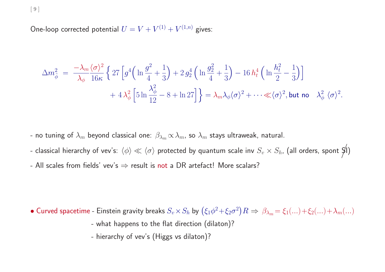[ <sup>9</sup> ]

One-loop corrected potential  $U = V + V^{(1)} + V^{(1,n)}$  gives:

$$
\Delta m_{\tilde{\phi}}^2 = \frac{-\lambda_m \langle \sigma \rangle^2}{\lambda_{\phi}} \left\{ 27 \left[ g^4 \left( \ln \frac{g^2}{4} + \frac{1}{3} \right) + 2 g_2^4 \left( \ln \frac{g_2^2}{4} + \frac{1}{3} \right) - 16 h_t^4 \left( \ln \frac{h_t^2}{2} - \frac{1}{3} \right) \right] \right. \\ + 4 \lambda_{\phi}^2 \left[ 5 \ln \frac{\lambda_{\phi}^2}{12} - 8 + \ln 27 \right] \right\} = \lambda_m \lambda_{\phi} \langle \sigma \rangle^2 + \dots \ll \langle \sigma \rangle^2, \text{ but no } \lambda_{\phi}^2 \langle \sigma \rangle^2.
$$

- no tuning of  $\lambda_m$  beyond classical one:  $\beta_{\lambda_m}\propto\lambda_m$ , so  $\lambda_m$  stays ultraweak, natural.

- classical hierarchy of vev's:  $\langle \phi \rangle \ll \langle \sigma \rangle$  protected by quantum scale inv  $S_v \times S_h$ , (all orders, spont  $S$ I)
- All scales from fields' vev's  $\Rightarrow$  result is not a DR artefact! More scalars?

• Curved spacetime - Einstein gravity breaks  $S_v\times S_h$  by  $(\xi_1\phi^2+\xi_2\sigma^2)R \Rightarrow \beta_{\lambda_m}=\xi_1(...)+\xi_2(...)+\lambda_m(...)$ 

- what happens to the flat direction (dilaton)?
- hierarchy of vev's (Higgs vs dilaton)?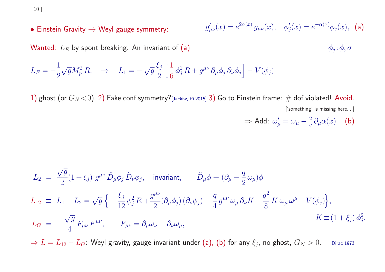[ <sup>10</sup> ]

• Einstein Gravity  $\rightarrow$  Weyl gauge symmetry:

$$
g'_{\mu\nu}(x) = e^{2\alpha(x)} g_{\mu\nu}(x), \quad \phi'_j(x) = e^{-\alpha(x)} \phi_j(x), \quad \text{(a)}
$$

Wanted:  $L_E$  by spont breaking. An invariant of (a)  $\phi_j : \phi, \sigma$ 

$$
L_E = -\frac{1}{2}\sqrt{g}M_p^2 R, \quad \rightarrow \quad L_1 = -\sqrt{g}\frac{\xi_j}{2}\left[\frac{1}{6}\phi_j^2 R + g^{\mu\nu}\partial_\mu\phi_j\partial_\nu\phi_j\right] - V(\phi_j)
$$

1) ghost (or  $G_N < 0$ ), 2) Fake conf symmetry?[Jackiw, Pi 2015] 3) Go to Einstein frame: # dof violated! Avoid. ['something' is missing here....]

$$
\Rightarrow \text{Add: } \omega_{\mu}' = \omega_{\mu} - \frac{2}{q} \partial_{\mu} \alpha(x) \quad \textbf{(b)}
$$

$$
L_2 = \frac{\sqrt{g}}{2}(1+\xi_j) g^{\mu\nu} \tilde{D}_{\mu}\phi_j \tilde{D}_{\nu}\phi_j, \text{ invariant, } \tilde{D}_{\mu}\phi \equiv (\partial_{\mu} - \frac{q}{2}\omega_{\mu})\phi
$$
  
\n
$$
L_{12} \equiv L_1 + L_2 = \sqrt{g} \left\{ -\frac{\xi_j}{12} \phi_j^2 R + \frac{g^{\mu\nu}}{2} (\partial_{\mu}\phi_j) (\partial_{\nu}\phi_j) - \frac{q}{4} g^{\mu\nu} \omega_{\mu} \partial_{\nu} K + \frac{q^2}{8} K \omega_{\mu} \omega^{\mu} - V(\phi_j) \right\},
$$
  
\n
$$
L_G = -\frac{\sqrt{g}}{4} F_{\mu\nu} F^{\mu\nu}, \qquad F_{\mu\nu} = \partial_{\mu}\omega_{\nu} - \partial_{\nu}\omega_{\mu},
$$
  
\n
$$
K \equiv (1+\xi_j) \phi_j^2.
$$

 $\Rightarrow L = L_{12} + L_G$ : Weyl gravity, gauge invariant under (a), (b) for any  $\xi_j$ , no ghost,  $G_N > 0$ . Dirac 1973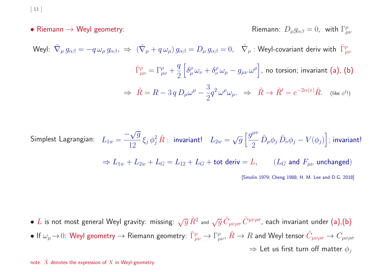$\lceil 11 \rceil$ 

• Riemann  $\rightarrow$  Weyl geometry:  $\blacksquare$  Riemann:  $D_{\mu}g_{\alpha\beta}=0$ , with  $\Gamma^{\rho}_{\mu\nu}$ 

Weyl:  $\tilde{\nabla}_{\mu} g_{\alpha\beta} = -q \omega_{\mu} g_{\alpha\beta}, \Rightarrow (\tilde{\nabla}_{\mu} + q \omega_{\mu}) g_{\alpha\beta} = D_{\mu} g_{\alpha\beta} = 0, \quad \tilde{\nabla}_{\mu}$ : Weyl-covariant deriv with  $\tilde{\Gamma}^{\rho}_{\mu\nu}$  $\int_{\mu\nu}^{\infty} = \Gamma^{\rho}_{\mu\nu} + \frac{q}{2} \left[ \delta^{\rho}_{\mu} \omega_{\nu} + \delta^{\rho}_{\nu} \omega_{\mu} - g_{\mu\nu} \omega^{\rho} \right],$  no torsion; invariant (a), (b)  $\Rightarrow \ \tilde{R}=R-3\,q\,D_\mu\omega^\mu-\frac{3}{2}q^2\,\omega^\mu\omega_\mu. \ \ \Rightarrow \ \ \tilde{R}\rightarrow \tilde{R}'=e^{-2\alpha(x)}\tilde{R}. \quad \text{(like $\phi^2$!)}$ 

Simplest Lagrangian: 
$$
L_{1w} = \frac{-\sqrt{g}}{12} \xi_j \phi_j^2 \tilde{R} : \text{ invariant!} \quad L_{2w} = \sqrt{g} \left[ \frac{g^{\mu\nu}}{2} \tilde{D}_{\mu} \phi_j \tilde{D}_{\nu} \phi_j - V(\phi_j) \right]; \text{ invariant!}
$$

$$
\Rightarrow L_{1w} + L_{2w} + L_G = L_{12} + L_G + \text{tot deriv} = L, \qquad (L_G \text{ and } F_{\mu\nu} \text{ unchanged})
$$
  
[Smolin 1979; Cheng 1988; H. M. Lee and D.G. 2018]

• L is not most general Weyl gravity: missing:  $\sqrt{g}\,\tilde{R}^2$  and  $\sqrt{g}\,\tilde{C}_{\mu\nu\rho\sigma}\,\tilde{C}^{\mu\nu\rho\sigma}$ , each invariant under (a),(b) • If  $\omega_\mu\to 0$ : Weyl geometry  $\to$  Riemann geometry:  $\tilde{\Gamma}^\rho_{\mu\nu}\to \Gamma^\rho_{\mu\nu}$ ,  $\tilde{R}\to R$  and Weyl tensor  $\tilde{C}_{\mu\nu\rho\sigma}\to C_{\mu\nu\rho\sigma}$  $\Rightarrow$  Let us first turn off matter  $\phi_i$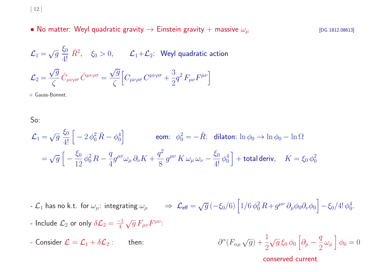[ <sup>12</sup> ]

• No matter: Weyl quadratic gravity  $\rightarrow$  Einstein gravity + massive  $\omega_{\mu}$  [DG 1812.08613]

$$
\mathcal{L}_1 = \sqrt{g} \frac{\xi_0}{4!} \tilde{R}^2, \quad \xi_0 > 0, \qquad \mathcal{L}_1 + \mathcal{L}_2: \text{ Weyl quadratic action}
$$
\n
$$
\mathcal{L}_2 = \frac{\sqrt{g}}{\zeta} \tilde{C}_{\mu\nu\rho\sigma} \tilde{C}^{\mu\nu\rho\sigma} = \frac{\sqrt{g}}{\zeta} \Big[ C_{\mu\nu\rho\sigma} C^{\mu\nu\rho\sigma} + \frac{3}{2} q^2 F_{\mu\nu} F^{\mu\nu} \Big]
$$

+ Gauss-Bonnet.

So:

$$
\mathcal{L}_1 = \sqrt{g} \frac{\xi_0}{4!} \left[ -2 \phi_0^2 \tilde{R} - \phi_0^4 \right] \qquad \text{eom:} \quad \phi_0^2 = -\tilde{R}; \quad \text{dilaton: } \ln \phi_0 \to \ln \phi_0 - \ln \Omega
$$
\n
$$
= \sqrt{g} \left[ -\frac{\xi_0}{12} \phi_0^2 R - \frac{q}{4} g^{\mu\nu} \omega_\mu \partial_\nu K + \frac{q^2}{8} g^{\mu\nu} K \omega_\mu \omega_\nu - \frac{\xi_0}{4!} \phi_0^4 \right] + \text{total deriv}, \quad K = \xi_0 \phi_0^2
$$

-  $\mathcal{L}_1$  has no k.t. for  $\omega_\mu$ : integrating  $\omega_\mu$   $\Rightarrow$   $\mathcal{L}_{eff} = \sqrt{g} \left( - \xi_0/6 \right) \left[ 1/6 \, \phi_0^2 \, R + g^{\mu\nu} \, \partial_\mu \phi_0 \partial_\nu \phi_0 \right] - \xi_0/4! \, \phi_0^4$ .

- Include  $\mathcal{L}_2$  or only  $\delta \mathcal{L}_2 = \frac{-1}{4} \sqrt{g} F_{\mu\nu} F^{\mu\nu}$ :

- Consider  $\mathcal{L} = \mathcal{L}_1 + \delta \mathcal{L}_2$ : then:  $\partial^{\alpha} (F_{\alpha\mu} \sqrt{g}) + \frac{1}{2} \sqrt{g} \xi_0 \phi_0 \left[ \partial_{\mu} - \frac{q}{2} \omega_{\mu} \right] \phi_0 = 0$ 

conserved current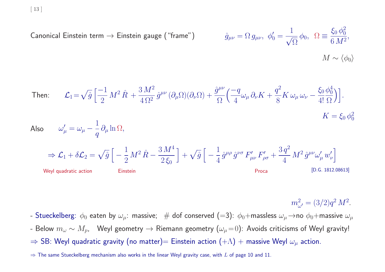Canonical Einstein term 
$$
\rightarrow
$$
 Einstein gauge ("frame")

\n
$$
\hat{g}_{\mu\nu} = \Omega g_{\mu\nu}, \ \phi_0' = \frac{1}{\sqrt{\Omega}} \phi_0, \ \Omega \equiv \frac{\xi_0 \phi_0^2}{6 M^2},
$$
\n
$$
M \sim \langle \phi_0 \rangle
$$

Then: 
$$
\mathcal{L}_1 = \sqrt{\hat{g}} \left[ \frac{-1}{2} M^2 \hat{R} + \frac{3 M^2}{4 \Omega^2} \hat{g}^{\mu \nu} (\partial_\mu \Omega)(\partial_\nu \Omega) + \frac{\hat{g}^{\mu \nu}}{\Omega} \left( \frac{-q}{4} \omega_\mu \partial_\nu K + \frac{q^2}{8} K \omega_\mu \omega_\nu - \frac{\xi_0 \phi_0^4}{4! \Omega} \right) \right].
$$
  
Also 
$$
\omega'_\mu = \omega_\mu - \frac{1}{q} \partial_\mu \ln \Omega,
$$

$$
\Rightarrow \mathcal{L}_1 + \delta \mathcal{L}_2 = \sqrt{\hat{g}} \left[ -\frac{1}{2} M^2 \hat{R} - \frac{3 M^4}{2 \xi_0} \right] + \sqrt{\hat{g}} \left[ -\frac{1}{4} \hat{g}^{\mu \rho} \hat{g}^{\nu \sigma} F'_{\mu \nu} F'_{\rho \sigma} + \frac{3 q^2}{4} M^2 \hat{g}^{\mu \nu} \omega'_\mu w'_\nu \right]
$$
  
Weyl quadratic action  
Einstein  
Proca  
[D.G. 1812.08613]

 $m_{\omega'}^2=(3/2)q^2\,M^2.$ 

- Stueckelberg:  $\phi_0$  eaten by  $\omega_\mu$ : massive; # dof conserved (=3):  $\phi_0+$ massless  $\omega_\mu$  $\to$ no  $\phi_0+$ massive  $\omega_\mu$
- Below  $m_\omega\sim M_p$ , Weyl geometry  $\to$  Riemann geometry  $(\omega_\mu\!=\!0)$ : Avoids criticisms of Weyl gravity!
- $\Rightarrow$  SB: Weyl quadratic gravity (no matter)= Einstein action  $(+\Lambda)$  + massive Weyl  $\omega_{\mu}$  action.
- $\Rightarrow$  The same Stueckelberg mechanism also works in the linear Weyl gravity case, with L of page 10 and 11.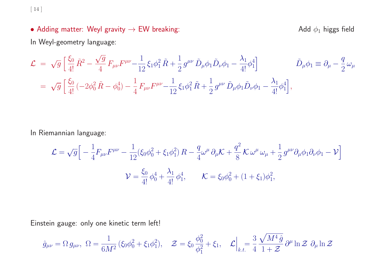[ <sup>14</sup> ]

## • Adding matter: Weyl gravity  $\rightarrow$  EW breaking:  $\rightarrow$  Add  $\phi_1$  higgs field

In Weyl-geometry language:

$$
\mathcal{L} = \sqrt{g} \left[ \frac{\xi_0}{4!} \tilde{R}^2 - \frac{\sqrt{g}}{4} F_{\mu\nu} F^{\mu\nu} - \frac{1}{12} \xi_1 \phi_1^2 \tilde{R} + \frac{1}{2} g^{\mu\nu} \tilde{D}_{\mu} \phi_1 \tilde{D}_{\nu} \phi_1 - \frac{\lambda_1}{4!} \phi_1^4 \right] \qquad \tilde{D}_{\mu} \phi_1 \equiv \partial_{\mu} - \frac{q}{2} \omega_{\mu}
$$
  
=  $\sqrt{g} \left[ \frac{\xi_0}{4!} \left( -2 \phi_0^2 \tilde{R} - \phi_0^4 \right) - \frac{1}{4} F_{\mu\nu} F^{\mu\nu} - \frac{1}{12} \xi_1 \phi_1^2 \tilde{R} + \frac{1}{2} g^{\mu\nu} \tilde{D}_{\mu} \phi_1 \tilde{D}_{\nu} \phi_1 - \frac{\lambda_1}{4!} \phi_1^4 \right],$ 

In Riemannian language:

$$
\mathcal{L} = \sqrt{g} \Big[ -\frac{1}{4} F_{\mu\nu} F^{\mu\nu} - \frac{1}{12} (\xi_0 \phi_0^2 + \xi_1 \phi_1^2) R - \frac{q}{4} \omega^{\mu} \partial_{\mu} \mathcal{K} + \frac{q^2}{8} \mathcal{K} \omega^{\mu} \omega_{\mu} + \frac{1}{2} g^{\mu\nu} \partial_{\mu} \phi_1 \partial_{\nu} \phi_1 - \mathcal{V} \Big]
$$
  

$$
\mathcal{V} = \frac{\xi_0}{4!} \phi_0^4 + \frac{\lambda_1}{4!} \phi_1^4, \qquad \mathcal{K} = \xi_0 \phi_0^2 + (1 + \xi_1) \phi_1^2,
$$

Einstein gauge: only one kinetic term left!

$$
\hat{g}_{\mu\nu} = \Omega g_{\mu\nu}, \ \Omega = \frac{1}{6M^2} (\xi_0 \phi_0^2 + \xi_1 \phi_1^2), \quad \mathcal{Z} = \xi_0 \frac{\phi_0^2}{\phi_1^2} + \xi_1, \quad \mathcal{L} \Big|_{k.t.} = \frac{3}{4} \frac{\sqrt{M^4 \hat{g}}}{1 + \mathcal{Z}} \partial^\mu \ln \mathcal{Z} \ \partial_\mu \ln \mathcal{Z}
$$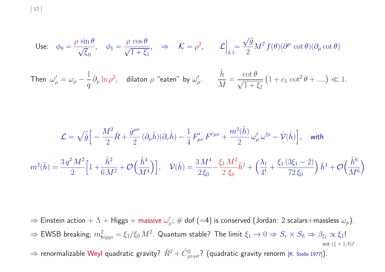[ <sup>15</sup> ]

Use: 
$$
\phi_0 = \frac{\rho \sin \theta}{\sqrt{\xi_0}}
$$
,  $\phi_1 = \frac{\rho \cos \theta}{\sqrt{1 + \xi_1}}$ ,  $\Rightarrow \mathcal{K} = \rho^2$ ,  $\mathcal{L}\Big|_{k.t.} = \frac{\sqrt{g}}{2} M^2 f(\theta) (\partial^\mu \cot \theta) (\partial_\mu \cot \theta)$   
\nThen  $\omega'_\mu = \omega_\mu - \frac{1}{q} \partial_\mu \ln \rho^2$ , dilaton  $\rho$  "eaten" by  $\omega'_\mu$ .  $\frac{\tilde{h}}{M} = \frac{\cot \theta}{\sqrt{1 + \xi_1}} (1 + c_1 \cot^2 \theta + ....) \ll 1$ .

$$
\mathcal{L} = \sqrt{\hat{g}} \Big[ -\frac{M^2}{2} \hat{R} + \frac{\hat{g}^{\mu\nu}}{2} (\partial_{\mu} \tilde{h}) (\partial_{\nu} \tilde{h}) - \frac{1}{4} F'_{\mu\nu} F'^{\mu\nu} + \frac{m^2(\tilde{h})}{2} \omega'_{\mu} \omega'^{\mu} - \hat{\mathcal{V}}(\tilde{h}) \Big], \quad \text{with}
$$
  

$$
m^2(\tilde{h}) = \frac{3 q^2 M^2}{2} \Big[ 1 + \frac{\tilde{h}^2}{6 M^2} + \mathcal{O}\Big(\frac{\tilde{h}^4}{M^4}\Big) \Big], \quad \hat{\mathcal{V}}(\tilde{h}) = \frac{3 M^4}{2 \xi_0} - \frac{\xi_1 M^2}{2 \xi_0} \tilde{h}^2 + \Big(\frac{\lambda_1}{4!} + \frac{\xi_1 (3\xi_1 - 2)}{72 \xi_0}\Big) \tilde{h}^4 + \mathcal{O}\Big(\frac{\tilde{h}^6}{M^6}\Big)
$$

 $\Rightarrow$  Einstein action  $+\Lambda+\mathsf{Higgs}+\mathsf{massive}\;\omega_\mu';\#\;\mathsf{dof}\; (=4)$  is conserved (Jordan: 2 scalars+massless  $\omega_\mu).$  $\Rightarrow$  EWSB breaking;  $m^2_{\text{higgs}} = \xi_1/\xi_0 M^2$ . Quantum stable? The limit  $\xi_1 \to 0 \Rightarrow S_v \times S_h \Rightarrow \beta_{\xi_1} \propto \xi_1!$ not  $(\xi + 1/6)!$  $\Rightarrow$  renormalizable Weyl quadratic gravity?  $\tilde{R}^2+\tilde{C}_{\mu\nu\rho\sigma}^2$ ? (quadratic gravity renorm [K. Stelle 1977]).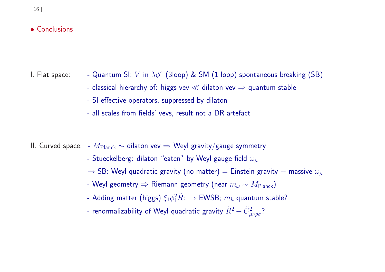### • Conclusions

- 
- I. Flat space: Quantum SI: V in  $\lambda \phi^4$  (3loop) & SM (1 loop) spontaneous breaking (SB)
	- classical hierarchy of: higgs vev  $\ll$  dilaton vev  $\Rightarrow$  quantum stable
	- SI effective operators, suppressed by dilaton
	- all scales from fields' vevs, result not <sup>a</sup> DR artefact

II. Curved space: -  $M_{\rm Planck} \sim$  dilaton vev  $\Rightarrow$  Weyl gravity/gauge symmetry

- Stueckelberg: dilaton "eaten" by Weyl gauge field  $\omega_{\mu}$
- $\rightarrow$  SB: Weyl quadratic gravity (no matter) = Einstein gravity + massive  $\omega_{\mu}$
- Weyl geometry  $\Rightarrow$  Riemann geometry (near  $m_\omega \sim M_{\rm Planck}$ )
- Adding matter (higgs)  $\xi_1\phi_1^2 \tilde{R}$ :  $\rightarrow$  EWSB;  $m_h$  quantum stable?
- renormalizability of Weyl quadratic gravity  $\tilde{R}^2 + \tilde{C}^2_{\mu\nu\rho\sigma}$ ?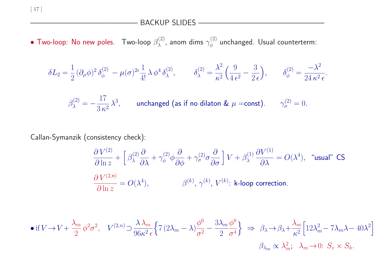[ <sup>17</sup> ]

## BACKUP SLIDES ———————————————

 $\bullet$  Two-loop: No new poles.  $\,$  Two-loop  $\beta_{\lambda}^{(2)}$ , anom dims  $\gamma_{\phi}^{(2)}$  unchanged. Usual counterterm:

$$
\delta L_2 = \frac{1}{2} (\partial_{\mu} \phi)^2 \, \delta_{\phi}^{(2)} - \mu (\sigma)^{2\epsilon} \frac{1}{4!} \, \lambda \, \phi^4 \, \delta_{\lambda}^{(2)}, \qquad \delta_{\lambda}^{(2)} = \frac{\lambda^2}{\kappa^2} \left( \frac{9}{4 \, \epsilon^2} - \frac{3}{2 \, \epsilon} \right), \qquad \delta_{\phi}^{(2)} = \frac{-\lambda^2}{24 \, \kappa^2 \, \epsilon}.
$$

$$
\beta_{\lambda}^{(2)} = -\frac{17}{3 \kappa^2} \lambda^3, \quad \text{unchanged (as if no dilaton & \mu = \text{const}).} \quad \gamma_{\sigma}^{(2)} = 0.
$$

# Callan-Symanzik (consistency check):

$$
\frac{\partial V^{(2)}}{\partial \ln z} + \left[ \beta_{\lambda}^{(2)} \frac{\partial}{\partial \lambda} + \gamma_{\phi}^{(2)} \phi \frac{\partial}{\partial \phi} + \gamma_{\sigma}^{(2)} \sigma \frac{\partial}{\partial \sigma} \right] V + \beta_{\lambda}^{(1)} \frac{\partial V^{(1)}}{\partial \lambda} = O(\lambda^4), \quad \text{``usual'' CS}
$$

$$
\frac{\partial V^{(2,n)}}{\partial \ln z} = O(\lambda^4), \qquad \beta^{(k)}, \gamma^{(k)}, V^{(k)}: \text{ k-loop correction.}
$$

$$
\bullet \text{ if } V \to V + \frac{\lambda_m}{2} \phi^2 \sigma^2, \quad V^{(2,n)} \supset \frac{\lambda \lambda_m}{96\kappa^2 \epsilon} \Big\{ 7 \left( 2\lambda_m - \lambda \right) \frac{\phi^6}{\sigma^2} - \frac{3\lambda_m \phi^8}{2 \sigma^4} \Big\} \Rightarrow \beta_\lambda \to \beta_\lambda + \frac{\lambda_m}{\kappa^2} \Big[ 12\lambda_m^2 - 7\lambda_m \lambda - 40\lambda^2 \Big] \times \beta_\lambda \to \beta_\lambda + \frac{\lambda_m \phi^8}{\kappa^2} \Big[ 12\lambda_m^2 - 7\lambda_m \lambda - 40\lambda^2 \Big] \times \beta_\lambda \to \beta_\lambda + \frac{\lambda_m \phi^8}{\kappa^2} \Big[ 12\lambda_m^2 - 7\lambda_m \lambda - 40\lambda^2 \Big] \times \beta_\lambda \to \beta_\lambda + \frac{\lambda_m \phi^8}{\kappa^2} \Big[ 12\lambda_m^2 - 7\lambda_m \lambda - 40\lambda^2 \Big] \times \beta_\lambda \to \beta_\lambda + \frac{\lambda_m \phi^8}{\kappa^2} \Big[ 12\lambda_m^2 - 7\lambda_m \lambda - 40\lambda^2 \Big] \times \beta_\lambda \to \beta_\lambda + \frac{\lambda_m \phi^8}{\kappa^2} \Big[ 12\lambda_m^2 - 7\lambda_m \lambda - 40\lambda^2 \Big] \times \beta_\lambda \to \beta_\lambda + \frac{\lambda_m \phi^8}{\kappa^2} \Big[ 12\lambda_m^2 - 7\lambda_m \lambda - 40\lambda^2 \Big] \times \beta_\lambda \to \beta_\lambda + \frac{\lambda_m \phi^8}{\kappa^2} \Big[ 12\lambda_m^2 - 7\lambda_m \lambda - 40\lambda^2 \Big] \times \beta_\lambda \to \beta_\lambda + \frac{\lambda_m \phi^8}{\kappa^2} \Big[ 12\lambda_m^2 - 7\lambda_m \lambda - 40\lambda^2 \Big] \times \beta_\lambda \to \beta_\lambda + \frac{\lambda_m \phi^8}{\kappa^2} \Big[ 12\lambda_m^2 - 7\lambda_m \lambda - 40\lambda^2 \Big] \times \beta_\lambda \to \beta_\lambda + \frac{\lambda_m \phi^8}{\kappa^2} \Big[ 12\lambda_m^2 - 7\lambda_m \lambda - 40\lambda^2 \Big] \times
$$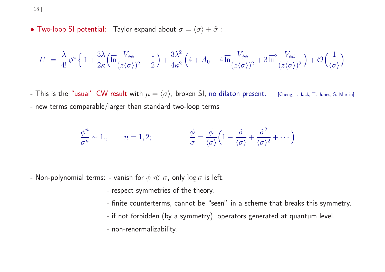[ <sup>18</sup> ]

• Two-loop SI potential: Taylor expand about  $\sigma = \langle \sigma \rangle + \tilde{\sigma}$ :

$$
U = \frac{\lambda}{4!} \phi^4 \left\{ 1 + \frac{3\lambda}{2\kappa} \left( \overline{\ln} \frac{V_{\phi\phi}}{(z\langle\sigma\rangle)^2} - \frac{1}{2} \right) + \frac{3\lambda^2}{4\kappa^2} \left( 4 + A_0 - 4 \overline{\ln} \frac{V_{\phi\phi}}{(z\langle\sigma\rangle)^2} + 3 \overline{\ln}^2 \frac{V_{\phi\phi}}{(z\langle\sigma\rangle)^2} \right) + \mathcal{O}\left(\frac{1}{\langle\sigma\rangle}\right) \right\}
$$

- This is the "usual" CW result with  $\mu = \langle \sigma \rangle$ , broken SI, no dilaton present. [Cheng, I. Jack, T. Jones, S. Martin] - new terms comparable/larger than standard two-loop terms

$$
\frac{\phi^n}{\sigma^n} \sim 1, \qquad n = 1, 2; \qquad \qquad \frac{\phi}{\sigma} = \frac{\phi}{\langle \sigma \rangle} \left( 1 - \frac{\tilde{\sigma}}{\langle \sigma \rangle} + \frac{\tilde{\sigma}^2}{\langle \sigma \rangle^2} + \cdots \right)
$$

- Non-polynomial terms: - vanish for  $\phi \ll \sigma$ , only  $\log \sigma$  is left.

- respect symmetries of the theory.
- finite counterterms, cannot be "seen" in <sup>a</sup> scheme that breaks this symmetry.
- if not forbidden (by <sup>a</sup> symmetry), operators generated at quantum level.
- non-renormalizability.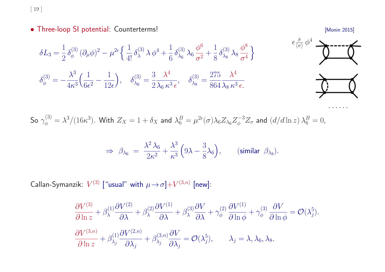[ <sup>19</sup> ]

• Three-loop SI potential: Counterterms! **• Three-loop SI potential: Counterterms!** 



So  $\gamma_{\phi}^{(3)} = \lambda^3/(16\kappa^3)$ . With  $Z_X = 1 + \delta_X$  and  $\lambda_6^B = \mu^{2\epsilon}(\sigma) \lambda_6 Z_{\lambda_6} Z_{\phi}^{-3} Z_{\sigma}$  and  $(d/d \ln z) \lambda_6^B = 0$ ,

$$
\Rightarrow \ \beta_{\lambda_6} \ = \ \frac{\lambda^2 \lambda_6}{2\kappa^2} + \frac{\lambda^3}{\kappa^3} \left(9\lambda - \frac{3}{8}\lambda_6\right), \qquad \text{(similar } \beta_{\lambda_8}\text{)}.
$$

Callan-Symanzik:  $V^{(3)}$  ["usual" with  $\mu \rightarrow \sigma$ ]+ $V^{(3,n)}$  [new]:

$$
\frac{\partial V^{(3)}}{\partial \ln z} + \beta_{\lambda}^{(1)} \frac{\partial V^{(2)}}{\partial \lambda} + \beta_{\lambda}^{(2)} \frac{\partial V^{(1)}}{\partial \lambda} + \beta_{\lambda}^{(3)} \frac{\partial V}{\partial \lambda} + \gamma_{\phi}^{(2)} \frac{\partial V^{(1)}}{\partial \ln \phi} + \gamma_{\phi}^{(3)} \frac{\partial V}{\partial \ln \phi} = \mathcal{O}(\lambda_j^5).
$$
  

$$
\frac{\partial V^{(3,n)}}{\partial \ln z} + \beta_{\lambda_j}^{(1)} \frac{\partial V^{(2,n)}}{\partial \lambda_j} + \beta_{\lambda_j}^{(3,n)} \frac{\partial V}{\partial \lambda_j} = \mathcal{O}(\lambda_j^5), \qquad \lambda_j = \lambda, \lambda_6, \lambda_8.
$$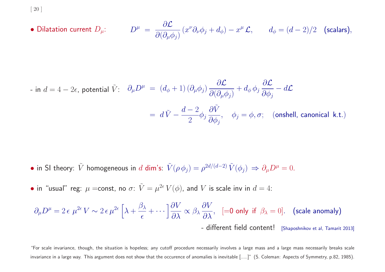[ <sup>20</sup> ]

• Dilatation current 
$$
D_{\mu}
$$
: 
$$
D^{\mu} = \frac{\partial \mathcal{L}}{\partial(\partial_{\mu}\phi_j)}(x^{\nu}\partial_{\nu}\phi_j + d_{\phi}) - x^{\mu}\mathcal{L}, \qquad d_{\phi} = (d-2)/2 \quad \text{(scalars)},
$$

$$
\begin{array}{l}\n\text{- in } d = 4 - 2\epsilon \text{, potential } \tilde{V}: \quad \partial_{\mu} D^{\mu} \ = \ (d_{\phi} + 1) \, (\partial_{\mu} \phi_j) \, \frac{\partial \mathcal{L}}{\partial (\partial_{\mu} \phi_j)} + d_{\phi} \, \phi_j \, \frac{\partial \mathcal{L}}{\partial \phi_j} - d\mathcal{L} \\
\\
\hspace{2.5cm} = \ d \, \tilde{V} - \frac{d - 2}{2} \phi_j \, \frac{\partial \tilde{V}}{\partial \phi_j}, \quad \phi_j = \phi, \sigma; \quad \text{(onshell, canonical k.t.)}\n\end{array}
$$

- in SI theory:  $\tilde{V}$  homogeneous in d dim's:  $\tilde{V}(\rho \phi_j) = \rho^{2d/(d-2)} \tilde{V}(\phi_j) \Rightarrow \partial_\mu D^\mu = 0$ .
- in "usual" reg:  $\mu$  =const, no  $\sigma$ :  $\tilde{V} = \mu^{2\epsilon} V(\phi)$ , and V is scale inv in  $d = 4$ :

$$
\partial_{\mu}D^{\mu} = 2 \epsilon \mu^{2\epsilon} V \sim 2 \epsilon \mu^{2\epsilon} \left[ \lambda + \frac{\beta_{\lambda}}{\epsilon} + \cdots \right] \frac{\partial V}{\partial \lambda} \propto \beta_{\lambda} \frac{\partial V}{\partial \lambda}, \quad \text{[=0 only if } \beta_{\lambda} = 0 \text{].} \quad \text{(scale anomaly)} \\ \text{- different field content!} \quad \text{[Shaposhnikov et al, Tamarit 2013]}
$$

"For scale invariance, though, the situation is hopeless; any cutoff procedure necessarily involves <sup>a</sup> large mass and <sup>a</sup> large mass necessarily breaks scale invariance in a large way. This argument does not show that the occurence of anomalies is inevitable [.....]" (S. Coleman: Aspects of Symmetry, p.82, 1985).